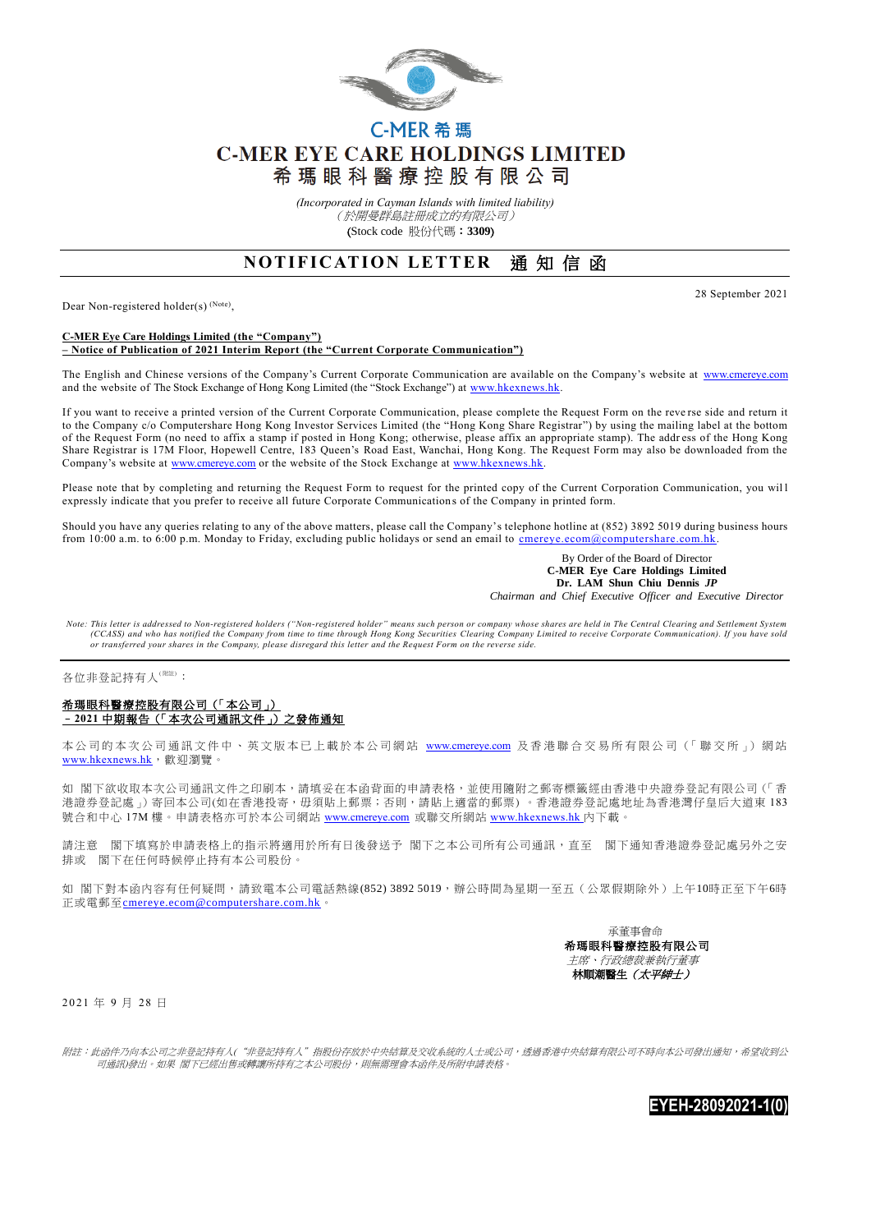

# C-MER 希瑪 **C-MER EYE CARE HOLDINGS LIMITED** 希 瑪 眼 科 醫 療 控 股 有 限 公 司

*(Incorporated in Cayman Islands with limited liability)* (於開曼群島註冊成立的有限公司) (Stock code 股份代碼:**3309**)

## **NOTIFICATION LETTER 通知信函**

Dear Non-registered holder(s)<sup>(Note)</sup>,

28 September 2021

#### **C-MER Eye Care Holdings Limited (the "Company") – Notice of Publication of 2021 Interim Report (the "Current Corporate Communication")**

The English and Chinese versions of the Company's Current Corporate Communication are available on the Company's website at [www.cmereye.com](http://www.cmereye.com/) and the website of The Stock Exchange of Hong Kong Limited (the "Stock Exchange") at [www.hkexnews.hk.](http://www.hkexnews.hk/)

If you want to receive a printed version of the Current Corporate Communication, please complete the Request Form on the reve rse side and return it to the Company c/o Computershare Hong Kong Investor Services Limited (the "Hong Kong Share Registrar") by using the mailing label at the bottom of the Request Form (no need to affix a stamp if posted in Hong Kong; otherwise, please affix an appropriate stamp). The addr ess of the Hong Kong Share Registrar is 17M Floor, Hopewell Centre, 183 Queen's Road East, Wanchai, Hong Kong. The Request Form may also be downloaded from the Company's website at [www.cmereye.com](http://www.cmereye.com/) or the website of the Stock Exchange at [www.hkexnews.hk.](http://www.hkexnews.hk/)

Please note that by completing and returning the Request Form to request for the printed copy of the Current Corporation Communication, you wil l expressly indicate that you prefer to receive all future Corporate Communication s of the Company in printed form.

Should you have any queries relating to any of the above matters, please call the Company's telephone hotline at (852) 3892 5019 during business hours from 10:00 a.m. to 6:00 p.m. Monday to Friday, excluding public holidays or send an email to cmereye.ecom@computershare.com.hk

> By Order of the Board of Director  **C-MER Eye Care Holdings Limited Dr. LAM Shun Chiu Dennis** *JP Chairman and Chief Executive Officer and Executive Director*

*Note: This letter is addressed to Non-registered holders ("Non-registered holder" means such person or company whose shares are held in The Central Clearing and Settlement System*  (CCASS) and who has notified the Company from time to time through Hong Kong Securities Clearing Company Limited to receive Corporate Communication). If you have sold<br>or transferred your shares in the Company, please disre

#### 各位非登記持有人<sup>(附注)</sup>:

### 希瑪眼科醫療控股有限公司(「本公司」) –**2021** 中期報告(「本次公司通訊文件」)之發佈通知

本公司的本次公司通訊文件中、英文版本已上載於本公司網站 [www.cmereye.com](http://www.cmereye.com/) 及香港聯合交易所有限公司(「聯交所」) 網站 [www.hkexnews.hk](http://www.hkexnews.hk/), 歡迎瀏覽。

如 閣下欲收取本次公司通訊文件之印刷本,請填妥在本函背面的申請表格,並使用隨附之郵寄標籤經由香港中央證券登記有限公司 (「香 港證券登記處」)寄回本公司(如在香港投寄,毋須貼上郵票;否則,請貼上適當的郵票)。香港證券登記處地址為香港灣仔皇后大道東183 號合和中心 17M 樓。申請表格亦可於本公司網站 [www.cmereye.com](http://www.cmereye.com/) 或聯交所網站 [www.hkexnews.hk](http://www.hkexnews.hk/) 內下載。

請注意 閣下填寫於申請表格上的指示將適用於所有日後發送予 閣下之本公司所有公司通訊,直至 閣下通知香港證券登記處另外之安 排或 閣下在任何時候停止持有本公司股份。

如 閣下對本函內容有任何疑問,請致電本公司電話熱線(852) 3892 5019,辦公時間為星期一至五(公眾假期除外)上午10時正至下午6時 正或電郵至[cmereye.ecom@computershare.com.hk](mailto:cmereye.ecom@computershare.com.hk)。

> 承董事會命 希瑪眼科醫療控股有限公司 主席、行政總裁兼執行董事 林順潮醫生(太平紳士)

2 0 21 年 9 月 28 日

附註:此函件乃向本公司之非登記持有人("非登記持有人"指股份存放於中央結算及交收系統的人士或公司,透過香港中央結算有限公司不時向本公司發出通知,希望收到公 司通訊)發出。如果 閣下已經出售或轉讓所持有之本公司股份,則無需理會本函件及所附申請表格。